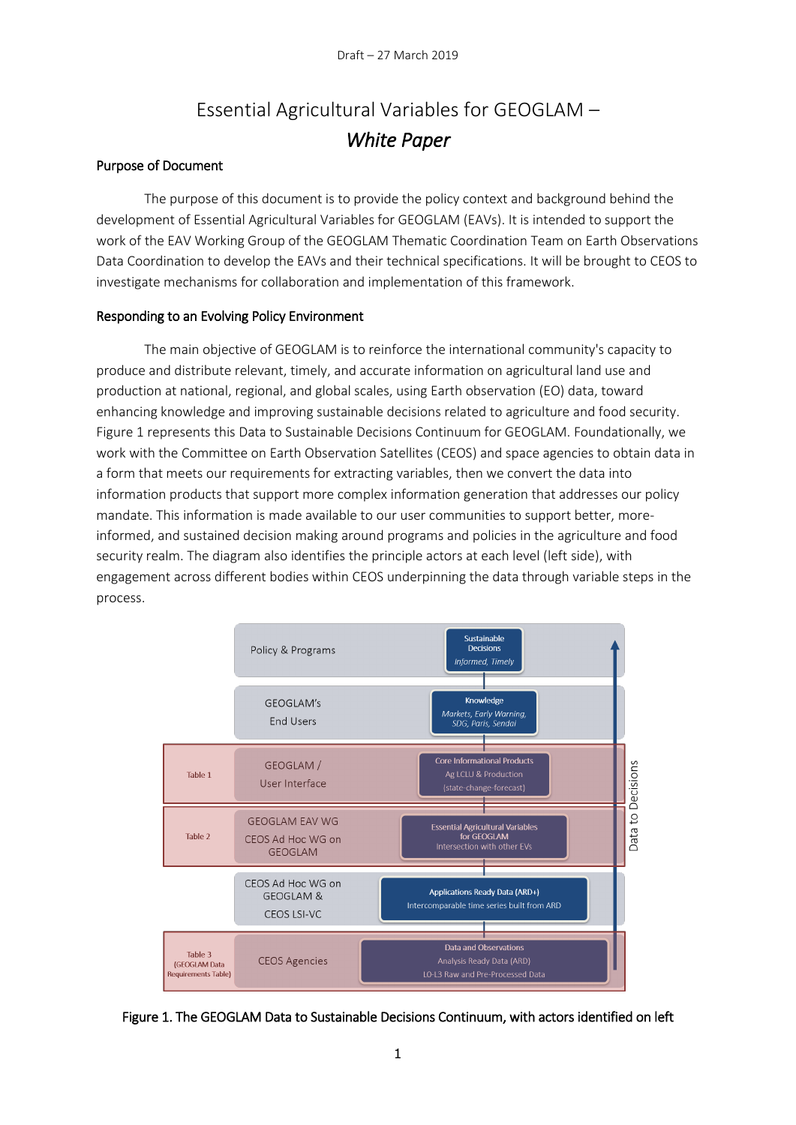# Essential Agricultural Variables for GEOGLAM – *White Paper*

#### Purpose of Document

The purpose of this document is to provide the policy context and background behind the development of Essential Agricultural Variables for GEOGLAM (EAVs). It is intended to support the work of the EAV Working Group of the GEOGLAM Thematic Coordination Team on Earth Observations Data Coordination to develop the EAVs and their technical specifications. It will be brought to CEOS to investigate mechanisms for collaboration and implementation of this framework.

#### Responding to an Evolving Policy Environment

The main objective of GEOGLAM is to reinforce the international community's capacity to produce and distribute relevant, timely, and accurate information on agricultural land use and production at national, regional, and global scales, using Earth observation (EO) data, toward enhancing knowledge and improving sustainable decisions related to agriculture and food security. Figure 1 represents this Data to Sustainable Decisions Continuum for GEOGLAM. Foundationally, we work with the Committee on Earth Observation Satellites (CEOS) and space agencies to obtain data in a form that meets our requirements for extracting variables, then we convert the data into information products that support more complex information generation that addresses our policy mandate. This information is made available to our user communities to support better, moreinformed, and sustained decision making around programs and policies in the agriculture and food security realm. The diagram also identifies the principle actors at each level (left side), with engagement across different bodies within CEOS underpinning the data through variable steps in the process.



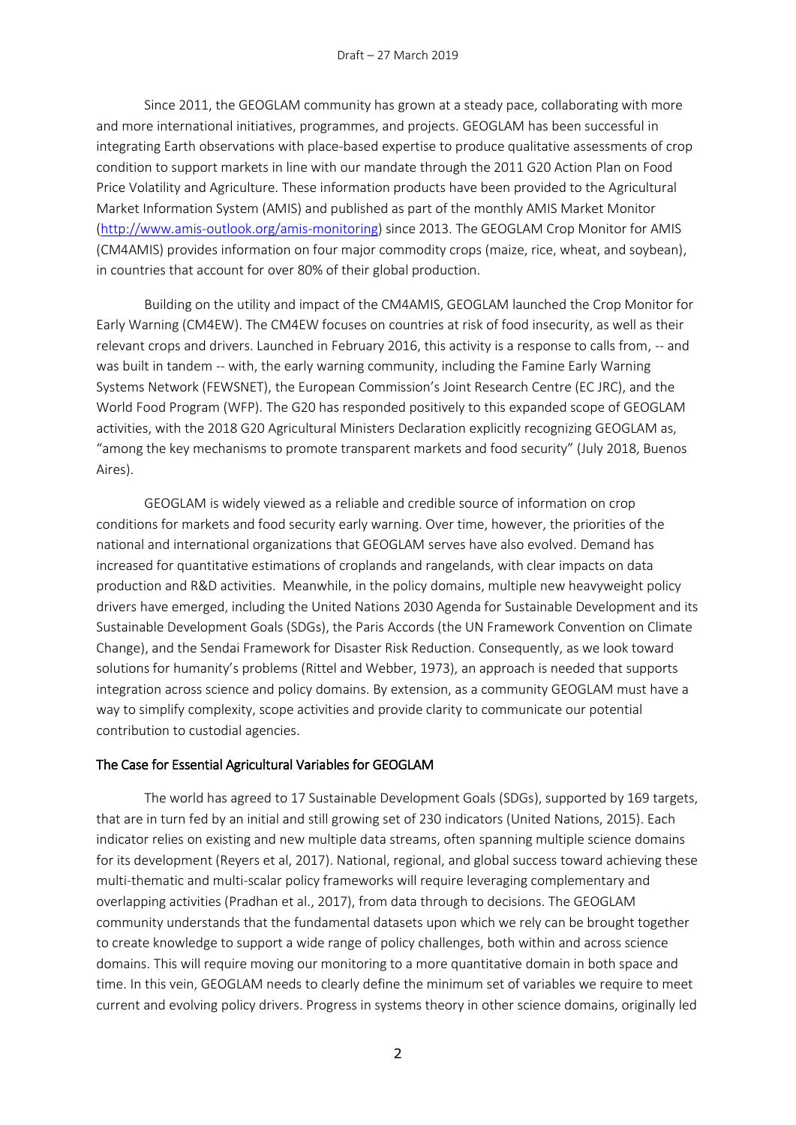Since 2011, the GEOGLAM community has grown at a steady pace, collaborating with more and more international initiatives, programmes, and projects. GEOGLAM has been successful in integrating Earth observations with place-based expertise to produce qualitative assessments of crop condition to support markets in line with our mandate through the 2011 G20 Action Plan on Food Price Volatility and Agriculture. These information products have been provided to the Agricultural Market Information System (AMIS) and published as part of the monthly AMIS Market Monitor [\(http://www.amis-outlook.org/amis-monitoring\)](http://www.amis-outlook.org/amis-monitoring) since 2013. The GEOGLAM Crop Monitor for AMIS (CM4AMIS) provides information on four major commodity crops (maize, rice, wheat, and soybean), in countries that account for over 80% of their global production.

Building on the utility and impact of the CM4AMIS, GEOGLAM launched the Crop Monitor for Early Warning (CM4EW). The CM4EW focuses on countries at risk of food insecurity, as well as their relevant crops and drivers. Launched in February 2016, this activity is a response to calls from, -- and was built in tandem -- with, the early warning community, including the Famine Early Warning Systems Network (FEWSNET), the European Commission's Joint Research Centre (EC JRC), and the World Food Program (WFP). The G20 has responded positively to this expanded scope of GEOGLAM activities, with the 2018 G20 Agricultural Ministers Declaration explicitly recognizing GEOGLAM as, "among the key mechanisms to promote transparent markets and food security" (July 2018, Buenos Aires).

GEOGLAM is widely viewed as a reliable and credible source of information on crop conditions for markets and food security early warning. Over time, however, the priorities of the national and international organizations that GEOGLAM serves have also evolved. Demand has increased for quantitative estimations of croplands and rangelands, with clear impacts on data production and R&D activities. Meanwhile, in the policy domains, multiple new heavyweight policy drivers have emerged, including the United Nations 2030 Agenda for Sustainable Development and its Sustainable Development Goals (SDGs), the Paris Accords (the UN Framework Convention on Climate Change), and the Sendai Framework for Disaster Risk Reduction. Consequently, as we look toward solutions for humanity's problems (Rittel and Webber, 1973), an approach is needed that supports integration across science and policy domains. By extension, as a community GEOGLAM must have a way to simplify complexity, scope activities and provide clarity to communicate our potential contribution to custodial agencies.

#### The Case for Essential Agricultural Variables for GEOGLAM

The world has agreed to 17 Sustainable Development Goals (SDGs), supported by 169 targets, that are in turn fed by an initial and still growing set of 230 indicators (United Nations, 2015). Each indicator relies on existing and new multiple data streams, often spanning multiple science domains for its development (Reyers et al, 2017). National, regional, and global success toward achieving these multi-thematic and multi-scalar policy frameworks will require leveraging complementary and overlapping activities (Pradhan et al., 2017), from data through to decisions. The GEOGLAM community understands that the fundamental datasets upon which we rely can be brought together to create knowledge to support a wide range of policy challenges, both within and across science domains. This will require moving our monitoring to a more quantitative domain in both space and time. In this vein, GEOGLAM needs to clearly define the minimum set of variables we require to meet current and evolving policy drivers. Progress in systems theory in other science domains, originally led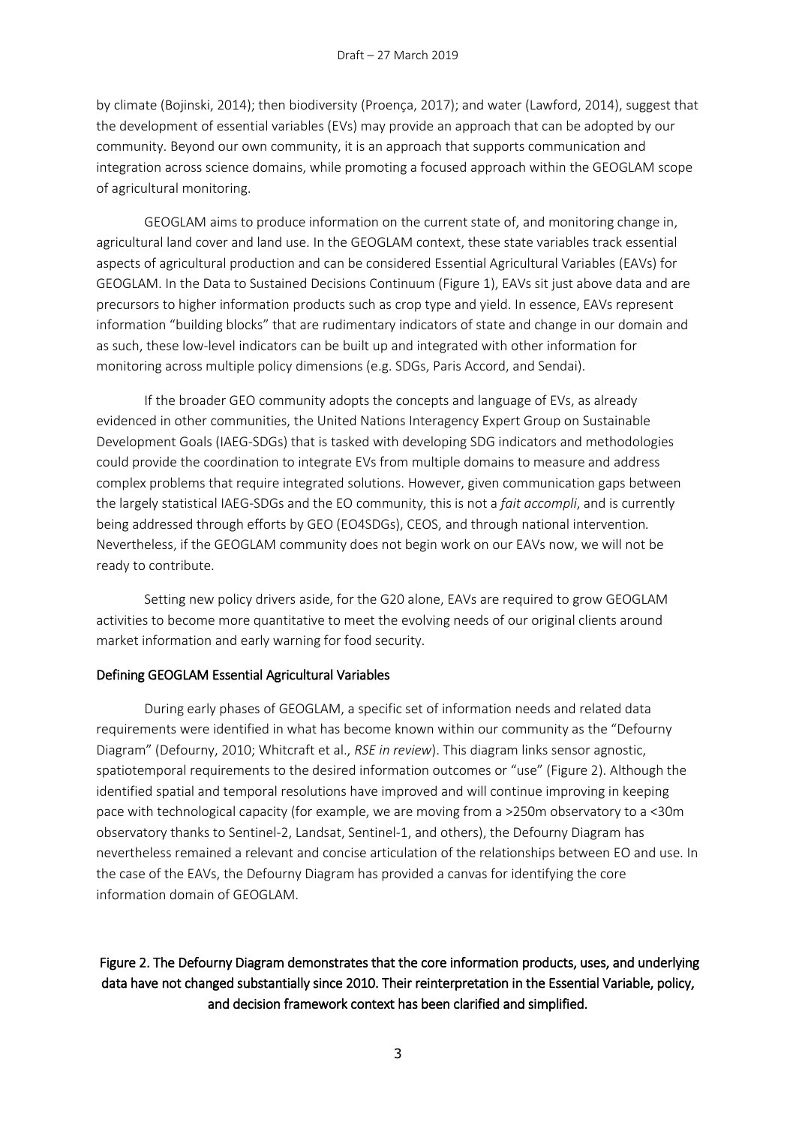by climate (Bojinski, 2014); then biodiversity (Proença, 2017); and water (Lawford, 2014), suggest that the development of essential variables (EVs) may provide an approach that can be adopted by our community. Beyond our own community, it is an approach that supports communication and integration across science domains, while promoting a focused approach within the GEOGLAM scope of agricultural monitoring.

GEOGLAM aims to produce information on the current state of, and monitoring change in, agricultural land cover and land use. In the GEOGLAM context, these state variables track essential aspects of agricultural production and can be considered Essential Agricultural Variables (EAVs) for GEOGLAM. In the Data to Sustained Decisions Continuum (Figure 1), EAVs sit just above data and are precursors to higher information products such as crop type and yield. In essence, EAVs represent information "building blocks" that are rudimentary indicators of state and change in our domain and as such, these low-level indicators can be built up and integrated with other information for monitoring across multiple policy dimensions (e.g. SDGs, Paris Accord, and Sendai).

If the broader GEO community adopts the concepts and language of EVs, as already evidenced in other communities, the United Nations Interagency Expert Group on Sustainable Development Goals (IAEG-SDGs) that is tasked with developing SDG indicators and methodologies could provide the coordination to integrate EVs from multiple domains to measure and address complex problems that require integrated solutions. However, given communication gaps between the largely statistical IAEG-SDGs and the EO community, this is not a *fait accompli*, and is currently being addressed through efforts by GEO (EO4SDGs), CEOS, and through national intervention*.*  Nevertheless, if the GEOGLAM community does not begin work on our EAVs now, we will not be ready to contribute.

Setting new policy drivers aside, for the G20 alone, EAVs are required to grow GEOGLAM activities to become more quantitative to meet the evolving needs of our original clients around market information and early warning for food security.

#### Defining GEOGLAM Essential Agricultural Variables

During early phases of GEOGLAM, a specific set of information needs and related data requirements were identified in what has become known within our community as the "Defourny Diagram" (Defourny, 2010; Whitcraft et al., *RSE in review*). This diagram links sensor agnostic, spatiotemporal requirements to the desired information outcomes or "use" (Figure 2). Although the identified spatial and temporal resolutions have improved and will continue improving in keeping pace with technological capacity (for example, we are moving from a >250m observatory to a <30m observatory thanks to Sentinel-2, Landsat, Sentinel-1, and others), the Defourny Diagram has nevertheless remained a relevant and concise articulation of the relationships between EO and use. In the case of the EAVs, the Defourny Diagram has provided a canvas for identifying the core information domain of GEOGLAM.

## Figure 2. The Defourny Diagram demonstrates that the core information products, uses, and underlying data have not changed substantially since 2010. Their reinterpretation in the Essential Variable, policy, and decision framework context has been clarified and simplified.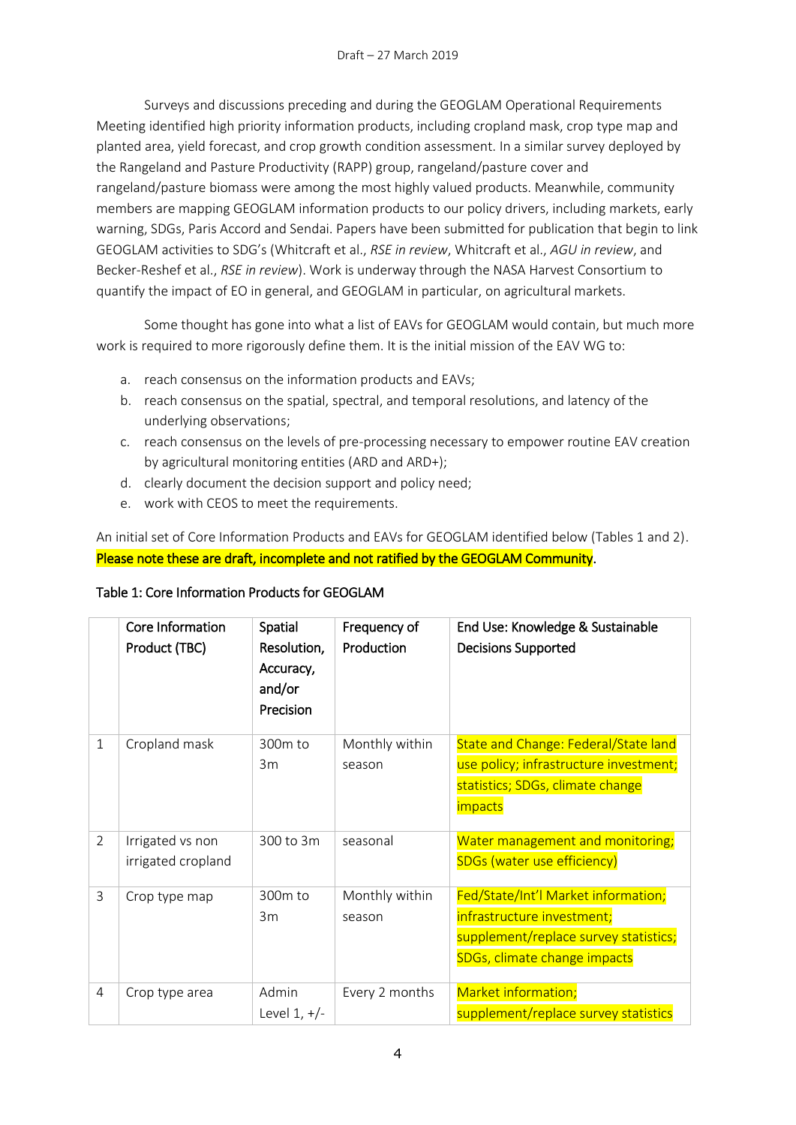Surveys and discussions preceding and during the GEOGLAM Operational Requirements Meeting identified high priority information products, including cropland mask, crop type map and planted area, yield forecast, and crop growth condition assessment. In a similar survey deployed by the Rangeland and Pasture Productivity (RAPP) group, rangeland/pasture cover and rangeland/pasture biomass were among the most highly valued products. Meanwhile, community members are mapping GEOGLAM information products to our policy drivers, including markets, early warning, SDGs, Paris Accord and Sendai. Papers have been submitted for publication that begin to link GEOGLAM activities to SDG's (Whitcraft et al., *RSE in review*, Whitcraft et al., *AGU in review*, and Becker-Reshef et al., *RSE in review*). Work is underway through the NASA Harvest Consortium to quantify the impact of EO in general, and GEOGLAM in particular, on agricultural markets.

Some thought has gone into what a list of EAVs for GEOGLAM would contain, but much more work is required to more rigorously define them. It is the initial mission of the EAV WG to:

- a. reach consensus on the information products and EAVs;
- b. reach consensus on the spatial, spectral, and temporal resolutions, and latency of the underlying observations;
- c. reach consensus on the levels of pre-processing necessary to empower routine EAV creation by agricultural monitoring entities (ARD and ARD+);
- d. clearly document the decision support and policy need;
- e. work with CEOS to meet the requirements.

An initial set of Core Information Products and EAVs for GEOGLAM identified below (Tables 1 and 2). Please note these are draft, incomplete and not ratified by the GEOGLAM Community.

|             | Core Information<br>Product (TBC)      | Spatial<br>Resolution,<br>Accuracy,<br>and/or<br>Precision | Frequency of<br>Production | End Use: Knowledge & Sustainable<br><b>Decisions Supported</b>                                                                              |
|-------------|----------------------------------------|------------------------------------------------------------|----------------------------|---------------------------------------------------------------------------------------------------------------------------------------------|
| $\mathbf 1$ | Cropland mask                          | 300m to<br>3m                                              | Monthly within<br>season   | <b>State and Change: Federal/State land</b><br>use policy; infrastructure investment;<br>statistics; SDGs, climate change<br><i>impacts</i> |
| 2           | Irrigated vs non<br>irrigated cropland | 300 to 3m                                                  | seasonal                   | Water management and monitoring;<br><b>SDGs (water use efficiency)</b>                                                                      |
| 3           | Crop type map                          | 300m to<br>3m                                              | Monthly within<br>season   | Fed/State/Int'l Market information;<br>infrastructure investment;<br>supplement/replace survey statistics;<br>SDGs, climate change impacts  |
| 4           | Crop type area                         | Admin<br>Level $1, +/-$                                    | Every 2 months             | Market information;<br>supplement/replace survey statistics                                                                                 |

### Table 1: Core Information Products for GEOGLAM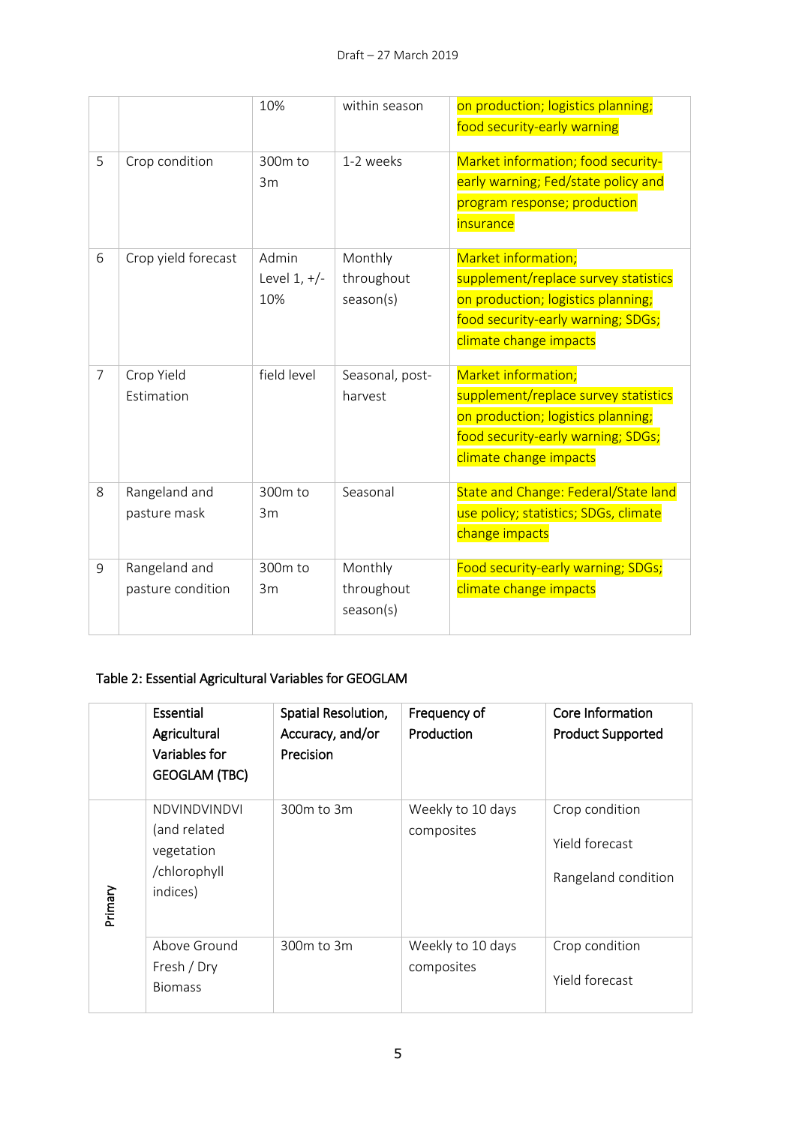|                |                                    | 10%                            | within season                      | on production; logistics planning;<br>food security-early warning                                                                                                 |
|----------------|------------------------------------|--------------------------------|------------------------------------|-------------------------------------------------------------------------------------------------------------------------------------------------------------------|
| 5              | Crop condition                     | 300m to<br>3m                  | 1-2 weeks                          | Market information; food security-<br>early warning; Fed/state policy and<br>program response; production<br><i>insurance</i>                                     |
| 6              | Crop yield forecast                | Admin<br>Level $1, +/-$<br>10% | Monthly<br>throughout<br>season(s) | Market information;<br>supplement/replace survey statistics<br>on production; logistics planning;<br>food security-early warning; SDGs;<br>climate change impacts |
| $\overline{7}$ | Crop Yield<br>Estimation           | field level                    | Seasonal, post-<br>harvest         | Market information;<br>supplement/replace survey statistics<br>on production; logistics planning;<br>food security-early warning; SDGs;<br>climate change impacts |
| 8              | Rangeland and<br>pasture mask      | 300m to<br>3m                  | Seasonal                           | State and Change: Federal/State land<br>use policy; statistics; SDGs, climate<br>change impacts                                                                   |
| 9              | Rangeland and<br>pasture condition | 300m to<br>3m                  | Monthly<br>throughout<br>season(s) | Food security-early warning; SDGs;<br>climate change impacts                                                                                                      |

## Table 2: Essential Agricultural Variables for GEOGLAM

|         | Essential<br>Agricultural<br>Variables for<br><b>GEOGLAM (TBC)</b>            | Spatial Resolution,<br>Accuracy, and/or<br>Precision | Frequency of<br>Production      | Core Information<br><b>Product Supported</b>            |  |  |
|---------|-------------------------------------------------------------------------------|------------------------------------------------------|---------------------------------|---------------------------------------------------------|--|--|
| Primary | <b>NDVINDVINDVI</b><br>(and related<br>vegetation<br>/chlorophyll<br>indices) | 300m to 3m                                           | Weekly to 10 days<br>composites | Crop condition<br>Yield forecast<br>Rangeland condition |  |  |
|         | Above Ground<br>300m to 3m<br>Fresh / Dry<br><b>Biomass</b>                   |                                                      | Weekly to 10 days<br>composites | Crop condition<br>Yield forecast                        |  |  |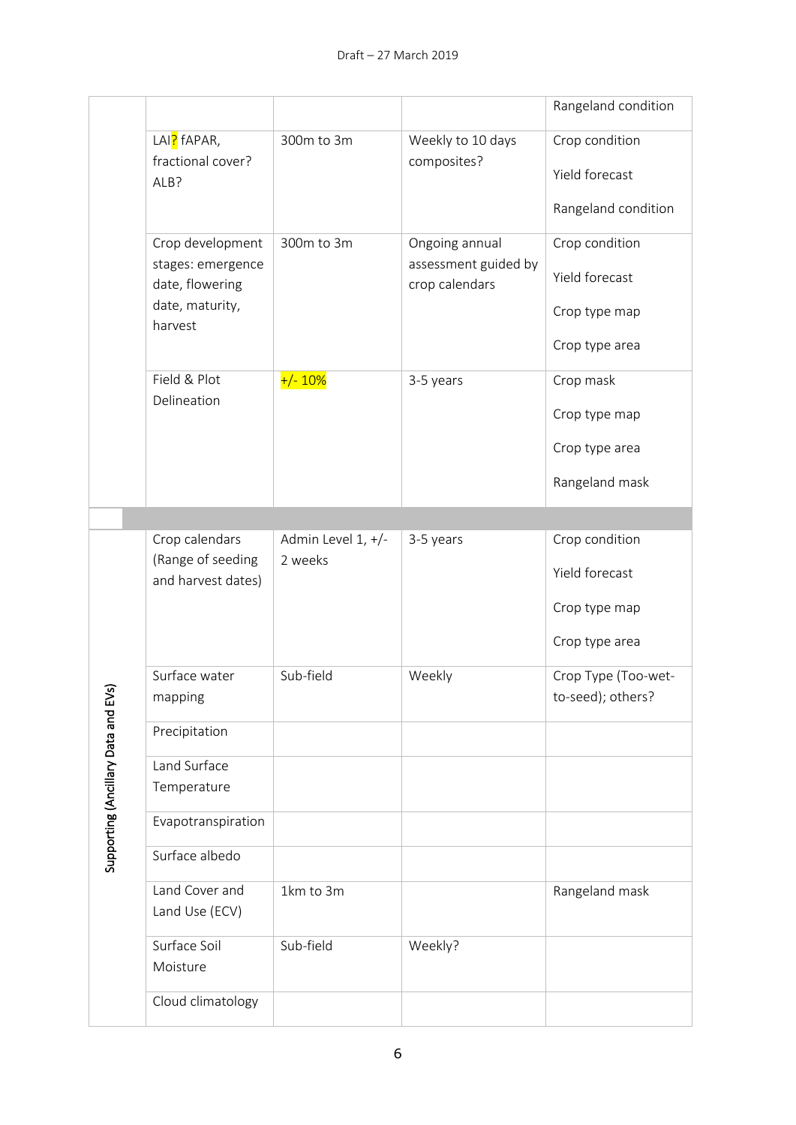|  |                                   |                                         |                    |                                        | Rangeland condition                      |  |  |
|--|-----------------------------------|-----------------------------------------|--------------------|----------------------------------------|------------------------------------------|--|--|
|  |                                   | LAI <mark>?</mark> fAPAR,               | 300m to 3m         | Weekly to 10 days                      | Crop condition                           |  |  |
|  |                                   | fractional cover?<br>ALB?               |                    | composites?                            | Yield forecast                           |  |  |
|  |                                   |                                         |                    |                                        | Rangeland condition                      |  |  |
|  |                                   | Crop development                        | 300m to 3m         | Ongoing annual                         | Crop condition                           |  |  |
|  |                                   | stages: emergence<br>date, flowering    |                    | assessment guided by<br>crop calendars | Yield forecast                           |  |  |
|  |                                   | date, maturity,<br>harvest              |                    |                                        | Crop type map                            |  |  |
|  |                                   |                                         |                    |                                        | Crop type area                           |  |  |
|  |                                   | Field & Plot<br>Delineation             | $+/- 10%$          | 3-5 years                              | Crop mask                                |  |  |
|  |                                   |                                         |                    |                                        | Crop type map                            |  |  |
|  |                                   |                                         |                    |                                        | Crop type area                           |  |  |
|  |                                   |                                         |                    |                                        | Rangeland mask                           |  |  |
|  |                                   |                                         |                    |                                        |                                          |  |  |
|  |                                   | Crop calendars                          | Admin Level 1, +/- | 3-5 years                              | Crop condition                           |  |  |
|  |                                   | (Range of seeding<br>and harvest dates) | 2 weeks            |                                        | Yield forecast                           |  |  |
|  |                                   |                                         |                    |                                        | Crop type map                            |  |  |
|  |                                   |                                         |                    |                                        | Crop type area                           |  |  |
|  | ্ত                                | Surface water<br>mapping                | Sub-field          | Weekly                                 | Crop Type (Too-wet-<br>to-seed); others? |  |  |
|  |                                   | Precipitation                           |                    |                                        |                                          |  |  |
|  | Supporting (Ancillary Data and EV | Land Surface<br>Temperature             |                    |                                        |                                          |  |  |
|  |                                   | Evapotranspiration                      |                    |                                        |                                          |  |  |
|  |                                   | Surface albedo                          |                    |                                        |                                          |  |  |
|  |                                   | Land Cover and<br>Land Use (ECV)        | 1km to 3m          |                                        | Rangeland mask                           |  |  |
|  |                                   | Surface Soil<br>Moisture                | Sub-field          | Weekly?                                |                                          |  |  |
|  |                                   | Cloud climatology                       |                    |                                        |                                          |  |  |